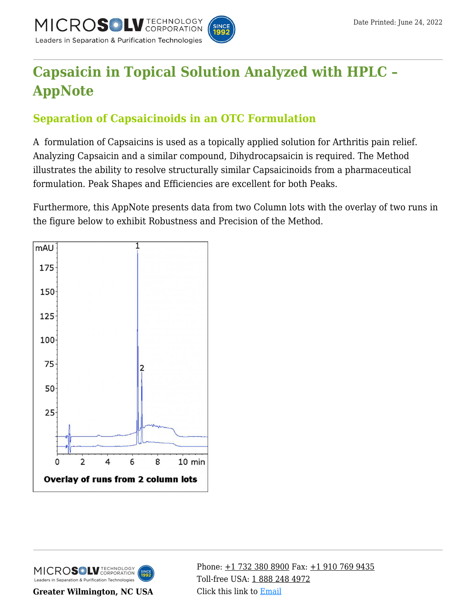

# **[Capsaicin in Topical Solution Analyzed with HPLC –](https://kb.mtc-usa.com/article/aa-01056/46/) [AppNote](https://kb.mtc-usa.com/article/aa-01056/46/)**

## **Separation of Capsaicinoids in an OTC Formulation**

A formulation of Capsaicins is used as a topically applied solution for Arthritis pain relief. Analyzing Capsaicin and a similar compound, Dihydrocapsaicin is required. The Method illustrates the ability to resolve structurally similar Capsaicinoids from a pharmaceutical formulation. Peak Shapes and Efficiencies are excellent for both Peaks.

Furthermore, this AppNote presents data from two Column lots with the overlay of two runs in the figure below to exhibit Robustness and Precision of the Method.





**Greater Wilmington, NC USA**

Phone:  $\pm$ 1 732 380 8900 Fax:  $\pm$ 1 910 769 9435 Toll-free USA: [1 888 248 4972](#page--1-0) Click this link to [Email](https://www.mtc-usa.com/contact)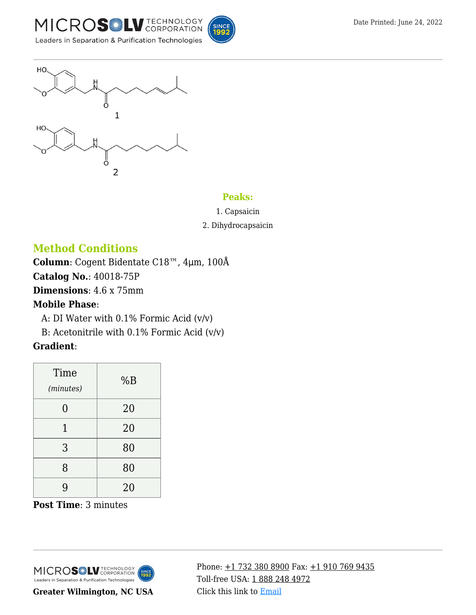





#### **Peaks:**

1. Capsaicin

#### 2. Dihydrocapsaicin

## **Method Conditions**

**Column**: Cogent Bidentate C18™, 4μm, 100Å

**Catalog No.**: 40018-75P

**Dimensions**: 4.6 x 75mm

### **Mobile Phase**:

A: DI Water with  $0.1\%$  Formic Acid (v/v)

B: Acetonitrile with  $0.1\%$  Formic Acid (v/v)

## **Gradient**:

| Time<br>(minutes) | %B |
|-------------------|----|
| 0                 | 20 |
| 1                 | 20 |
| 3                 | 80 |
| 8                 | 80 |
| 9                 | 20 |

**Post Time**: 3 minutes



**Greater Wilmington, NC USA**

Phone: [+1 732 380 8900](#page--1-0) Fax: [+1 910 769 9435](#page--1-0) Toll-free USA: [1 888 248 4972](#page--1-0) Click this link to [Email](https://www.mtc-usa.com/contact)